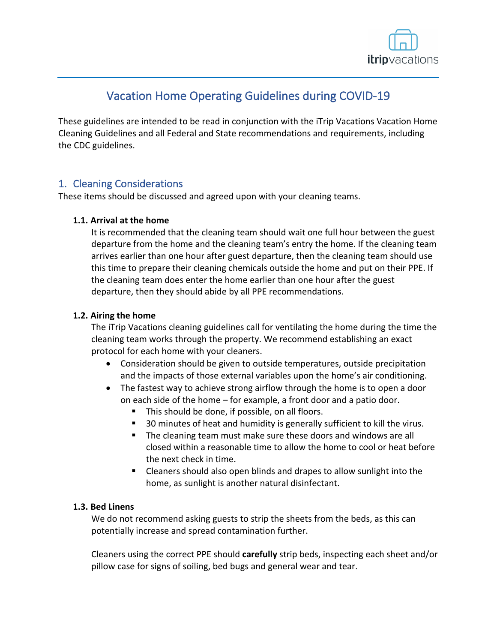

# Vacation Home Operating Guidelines during COVID-19

These guidelines are intended to be read in conjunction with the iTrip Vacations Vacation Home Cleaning Guidelines and all Federal and State recommendations and requirements, including the CDC guidelines.

# 1. Cleaning Considerations

These items should be discussed and agreed upon with your cleaning teams.

## **1.1. Arrival at the home**

It is recommended that the cleaning team should wait one full hour between the guest departure from the home and the cleaning team's entry the home. If the cleaning team arrives earlier than one hour after guest departure, then the cleaning team should use this time to prepare their cleaning chemicals outside the home and put on their PPE. If the cleaning team does enter the home earlier than one hour after the guest departure, then they should abide by all PPE recommendations.

## **1.2. Airing the home**

The iTrip Vacations cleaning guidelines call for ventilating the home during the time the cleaning team works through the property. We recommend establishing an exact protocol for each home with your cleaners.

- Consideration should be given to outside temperatures, outside precipitation and the impacts of those external variables upon the home's air conditioning.
- The fastest way to achieve strong airflow through the home is to open a door on each side of the home – for example, a front door and a patio door.
	- This should be done, if possible, on all floors.
	- § 30 minutes of heat and humidity is generally sufficient to kill the virus.
	- The cleaning team must make sure these doors and windows are all closed within a reasonable time to allow the home to cool or heat before the next check in time.
	- Cleaners should also open blinds and drapes to allow sunlight into the home, as sunlight is another natural disinfectant.

## **1.3. Bed Linens**

We do not recommend asking guests to strip the sheets from the beds, as this can potentially increase and spread contamination further.

Cleaners using the correct PPE should **carefully** strip beds, inspecting each sheet and/or pillow case for signs of soiling, bed bugs and general wear and tear.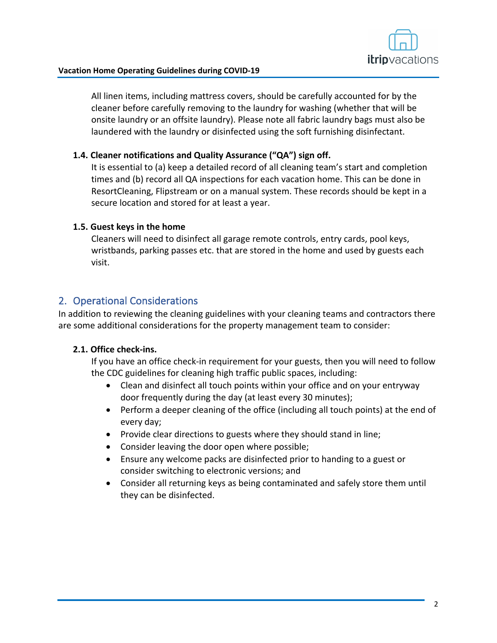

All linen items, including mattress covers, should be carefully accounted for by the cleaner before carefully removing to the laundry for washing (whether that will be onsite laundry or an offsite laundry). Please note all fabric laundry bags must also be laundered with the laundry or disinfected using the soft furnishing disinfectant.

#### **1.4. Cleaner notifications and Quality Assurance ("QA") sign off.**

It is essential to (a) keep a detailed record of all cleaning team's start and completion times and (b) record all QA inspections for each vacation home. This can be done in ResortCleaning, Flipstream or on a manual system. These records should be kept in a secure location and stored for at least a year.

#### **1.5. Guest keys in the home**

Cleaners will need to disinfect all garage remote controls, entry cards, pool keys, wristbands, parking passes etc. that are stored in the home and used by guests each visit.

# 2. Operational Considerations

In addition to reviewing the cleaning guidelines with your cleaning teams and contractors there are some additional considerations for the property management team to consider:

## **2.1. Office check-ins.**

If you have an office check-in requirement for your guests, then you will need to follow the CDC guidelines for cleaning high traffic public spaces, including:

- Clean and disinfect all touch points within your office and on your entryway door frequently during the day (at least every 30 minutes);
- Perform a deeper cleaning of the office (including all touch points) at the end of every day;
- Provide clear directions to guests where they should stand in line;
- Consider leaving the door open where possible;
- Ensure any welcome packs are disinfected prior to handing to a guest or consider switching to electronic versions; and
- Consider all returning keys as being contaminated and safely store them until they can be disinfected.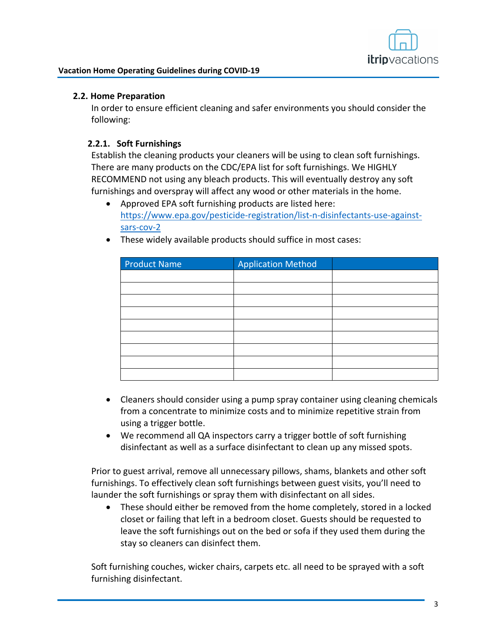

#### **2.2. Home Preparation**

In order to ensure efficient cleaning and safer environments you should consider the following:

#### **2.2.1. Soft Furnishings**

Establish the cleaning products your cleaners will be using to clean soft furnishings. There are many products on the CDC/EPA list for soft furnishings. We HIGHLY RECOMMEND not using any bleach products. This will eventually destroy any soft furnishings and overspray will affect any wood or other materials in the home.

• Approved EPA soft furnishing products are listed here: https://www.epa.gov/pesticide-registration/list-n-disinfectants-use-againstsars-cov-2

| <b>Product Name</b> | <b>Application Method</b> |  |
|---------------------|---------------------------|--|
|                     |                           |  |
|                     |                           |  |
|                     |                           |  |
|                     |                           |  |
|                     |                           |  |
|                     |                           |  |
|                     |                           |  |
|                     |                           |  |
|                     |                           |  |

• These widely available products should suffice in most cases:

- Cleaners should consider using a pump spray container using cleaning chemicals from a concentrate to minimize costs and to minimize repetitive strain from using a trigger bottle.
- We recommend all QA inspectors carry a trigger bottle of soft furnishing disinfectant as well as a surface disinfectant to clean up any missed spots.

Prior to guest arrival, remove all unnecessary pillows, shams, blankets and other soft furnishings. To effectively clean soft furnishings between guest visits, you'll need to launder the soft furnishings or spray them with disinfectant on all sides.

• These should either be removed from the home completely, stored in a locked closet or failing that left in a bedroom closet. Guests should be requested to leave the soft furnishings out on the bed or sofa if they used them during the stay so cleaners can disinfect them.

Soft furnishing couches, wicker chairs, carpets etc. all need to be sprayed with a soft furnishing disinfectant.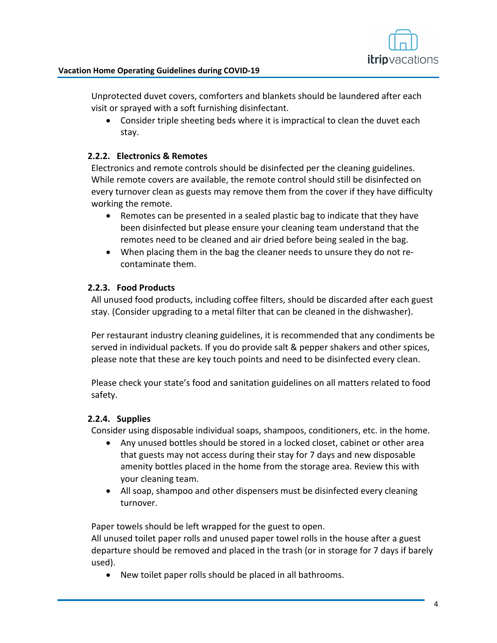

Unprotected duvet covers, comforters and blankets should be laundered after each visit or sprayed with a soft furnishing disinfectant.

• Consider triple sheeting beds where it is impractical to clean the duvet each stay.

## **2.2.2. Electronics & Remotes**

Electronics and remote controls should be disinfected per the cleaning guidelines. While remote covers are available, the remote control should still be disinfected on every turnover clean as guests may remove them from the cover if they have difficulty working the remote.

- Remotes can be presented in a sealed plastic bag to indicate that they have been disinfected but please ensure your cleaning team understand that the remotes need to be cleaned and air dried before being sealed in the bag.
- When placing them in the bag the cleaner needs to unsure they do not recontaminate them.

## **2.2.3. Food Products**

All unused food products, including coffee filters, should be discarded after each guest stay. (Consider upgrading to a metal filter that can be cleaned in the dishwasher).

Per restaurant industry cleaning guidelines, it is recommended that any condiments be served in individual packets. If you do provide salt & pepper shakers and other spices, please note that these are key touch points and need to be disinfected every clean.

Please check your state's food and sanitation guidelines on all matters related to food safety.

## **2.2.4. Supplies**

Consider using disposable individual soaps, shampoos, conditioners, etc. in the home.

- Any unused bottles should be stored in a locked closet, cabinet or other area that guests may not access during their stay for 7 days and new disposable amenity bottles placed in the home from the storage area. Review this with your cleaning team.
- All soap, shampoo and other dispensers must be disinfected every cleaning turnover.

Paper towels should be left wrapped for the guest to open.

All unused toilet paper rolls and unused paper towel rolls in the house after a guest departure should be removed and placed in the trash (or in storage for 7 days if barely used).

• New toilet paper rolls should be placed in all bathrooms.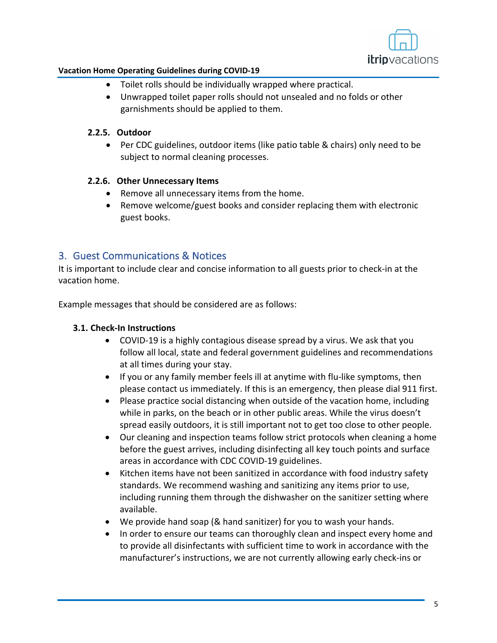

#### **Vacation Home Operating Guidelines during COVID-19**

- Toilet rolls should be individually wrapped where practical.
- Unwrapped toilet paper rolls should not unsealed and no folds or other garnishments should be applied to them.

#### **2.2.5. Outdoor**

• Per CDC guidelines, outdoor items (like patio table & chairs) only need to be subject to normal cleaning processes.

#### **2.2.6. Other Unnecessary Items**

- Remove all unnecessary items from the home.
- Remove welcome/guest books and consider replacing them with electronic guest books.

# 3. Guest Communications & Notices

It is important to include clear and concise information to all guests prior to check-in at the vacation home.

Example messages that should be considered are as follows:

## **3.1. Check-In Instructions**

- COVID-19 is a highly contagious disease spread by a virus. We ask that you follow all local, state and federal government guidelines and recommendations at all times during your stay.
- If you or any family member feels ill at anytime with flu-like symptoms, then please contact us immediately. If this is an emergency, then please dial 911 first.
- Please practice social distancing when outside of the vacation home, including while in parks, on the beach or in other public areas. While the virus doesn't spread easily outdoors, it is still important not to get too close to other people.
- Our cleaning and inspection teams follow strict protocols when cleaning a home before the guest arrives, including disinfecting all key touch points and surface areas in accordance with CDC COVID-19 guidelines.
- Kitchen items have not been sanitized in accordance with food industry safety standards. We recommend washing and sanitizing any items prior to use, including running them through the dishwasher on the sanitizer setting where available.
- We provide hand soap (& hand sanitizer) for you to wash your hands.
- In order to ensure our teams can thoroughly clean and inspect every home and to provide all disinfectants with sufficient time to work in accordance with the manufacturer's instructions, we are not currently allowing early check-ins or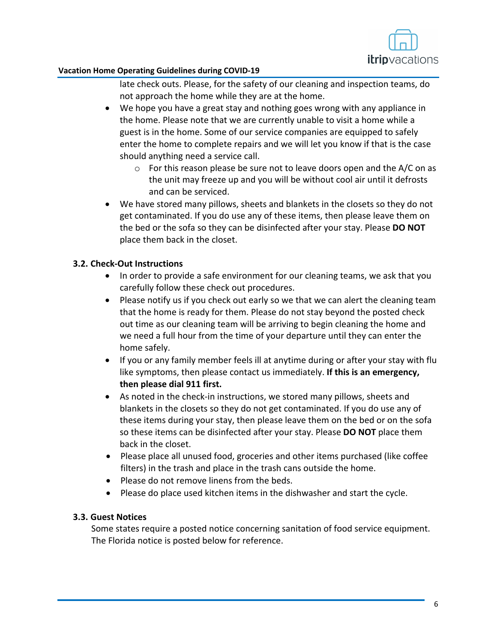

#### **Vacation Home Operating Guidelines during COVID-19**

late check outs. Please, for the safety of our cleaning and inspection teams, do not approach the home while they are at the home.

- We hope you have a great stay and nothing goes wrong with any appliance in the home. Please note that we are currently unable to visit a home while a guest is in the home. Some of our service companies are equipped to safely enter the home to complete repairs and we will let you know if that is the case should anything need a service call.
	- o For this reason please be sure not to leave doors open and the A/C on as the unit may freeze up and you will be without cool air until it defrosts and can be serviced.
- We have stored many pillows, sheets and blankets in the closets so they do not get contaminated. If you do use any of these items, then please leave them on the bed or the sofa so they can be disinfected after your stay. Please **DO NOT** place them back in the closet.

## **3.2. Check-Out Instructions**

- In order to provide a safe environment for our cleaning teams, we ask that you carefully follow these check out procedures.
- Please notify us if you check out early so we that we can alert the cleaning team that the home is ready for them. Please do not stay beyond the posted check out time as our cleaning team will be arriving to begin cleaning the home and we need a full hour from the time of your departure until they can enter the home safely.
- If you or any family member feels ill at anytime during or after your stay with flu like symptoms, then please contact us immediately. **If this is an emergency, then please dial 911 first.**
- As noted in the check-in instructions, we stored many pillows, sheets and blankets in the closets so they do not get contaminated. If you do use any of these items during your stay, then please leave them on the bed or on the sofa so these items can be disinfected after your stay. Please **DO NOT** place them back in the closet.
- Please place all unused food, groceries and other items purchased (like coffee filters) in the trash and place in the trash cans outside the home.
- Please do not remove linens from the beds.
- Please do place used kitchen items in the dishwasher and start the cycle.

## **3.3. Guest Notices**

Some states require a posted notice concerning sanitation of food service equipment. The Florida notice is posted below for reference.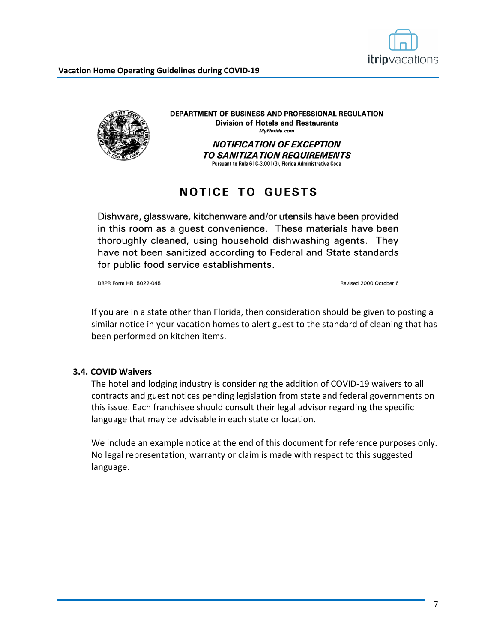



DEPARTMENT OF BUSINESS AND PROFESSIONAL REGULATION **Division of Hotels and Restaurants** MyFlorida.com

> **NOTIFICATION OF EXCEPTION TO SANITIZATION REQUIREMENTS** Pursuant to Rule 61C-3.001(3), Florida Administrative Code

# **NOTICE TO GUESTS**

Dishware, glassware, kitchenware and/or utensils have been provided in this room as a quest convenience. These materials have been thoroughly cleaned, using household dishwashing agents. They have not been sanitized according to Federal and State standards for public food service establishments.

DBPR Form HR 5022-045

Revised 2000 October 6

If you are in a state other than Florida, then consideration should be given to posting a similar notice in your vacation homes to alert guest to the standard of cleaning that has been performed on kitchen items.

#### **3.4. COVID Waivers**

The hotel and lodging industry is considering the addition of COVID-19 waivers to all contracts and guest notices pending legislation from state and federal governments on this issue. Each franchisee should consult their legal advisor regarding the specific language that may be advisable in each state or location.

We include an example notice at the end of this document for reference purposes only. No legal representation, warranty or claim is made with respect to this suggested language.